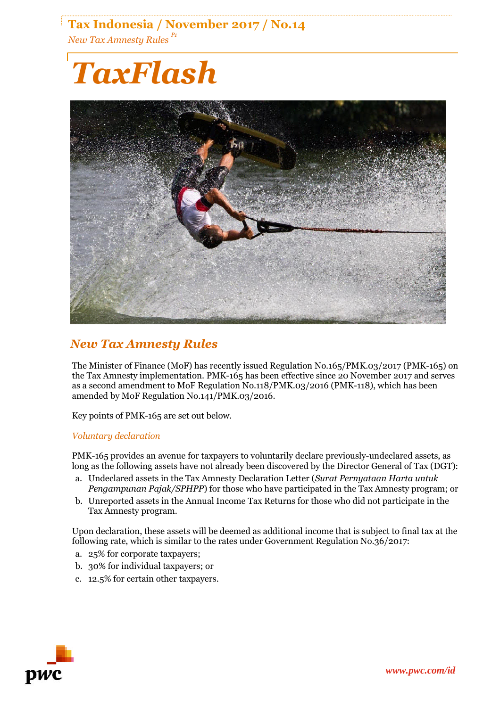# **Tax Indonesia / November 2017 / No.14** *New Tax Amnesty Rules P1*

# *TaxFlash*



## *New Tax Amnesty Rules*

The Minister of Finance (MoF) has recently issued Regulation No.165/PMK.03/2017 (PMK-165) on the Tax Amnesty implementation. PMK-165 has been effective since 20 November 2017 and serves as a second amendment to MoF Regulation No.118/PMK.03/2016 (PMK-118), which has been amended by MoF Regulation No.141/PMK.03/2016.

Key points of PMK-165 are set out below.

## *Voluntary declaration*

PMK-165 provides an avenue for taxpayers to voluntarily declare previously-undeclared assets, as long as the following assets have not already been discovered by the Director General of Tax (DGT):

- a. Undeclared assets in the Tax Amnesty Declaration Letter (*Surat Pernyataan Harta untuk Pengampunan Pajak/SPHPP*) for those who have participated in the Tax Amnesty program; or
- b. Unreported assets in the Annual Income Tax Returns for those who did not participate in the Tax Amnesty program.

Upon declaration, these assets will be deemed as additional income that is subject to final tax at the following rate, which is similar to the rates under Government Regulation No.36/2017:

- a. 25% for corporate taxpayers;
- b. 30% for individual taxpayers; or
- c. 12.5% for certain other taxpayers.

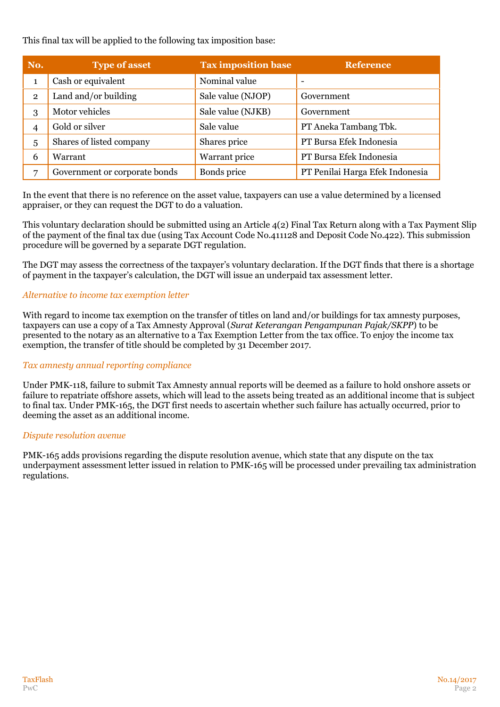This final tax will be applied to the following tax imposition base:

| No.            | <b>Type of asset</b>          | <b>Tax imposition base</b> | <b>Reference</b>                |
|----------------|-------------------------------|----------------------------|---------------------------------|
| $\mathbf{1}$   | Cash or equivalent            | Nominal value              |                                 |
| $\overline{2}$ | Land and/or building          | Sale value (NJOP)          | Government                      |
| 3              | Motor vehicles                | Sale value (NJKB)          | Government                      |
| 4              | Gold or silver                | Sale value                 | PT Aneka Tambang Tbk.           |
| 5              | Shares of listed company      | Shares price               | PT Bursa Efek Indonesia         |
| 6              | Warrant                       | Warrant price              | PT Bursa Efek Indonesia         |
| $\overline{ }$ | Government or corporate bonds | Bonds price                | PT Penilai Harga Efek Indonesia |

In the event that there is no reference on the asset value, taxpayers can use a value determined by a licensed appraiser, or they can request the DGT to do a valuation.

This voluntary declaration should be submitted using an Article 4(2) Final Tax Return along with a Tax Payment Slip of the payment of the final tax due (using Tax Account Code No.411128 and Deposit Code No.422). This submission procedure will be governed by a separate DGT regulation.

The DGT may assess the correctness of the taxpayer's voluntary declaration. If the DGT finds that there is a shortage of payment in the taxpayer's calculation, the DGT will issue an underpaid tax assessment letter.

#### *Alternative to income tax exemption letter*

With regard to income tax exemption on the transfer of titles on land and/or buildings for tax amnesty purposes, taxpayers can use a copy of a Tax Amnesty Approval (*Surat Keterangan Pengampunan Pajak/SKPP*) to be presented to the notary as an alternative to a Tax Exemption Letter from the tax office. To enjoy the income tax exemption, the transfer of title should be completed by 31 December 2017.

#### *Tax amnesty annual reporting compliance*

Under PMK-118, failure to submit Tax Amnesty annual reports will be deemed as a failure to hold onshore assets or failure to repatriate offshore assets, which will lead to the assets being treated as an additional income that is subject to final tax. Under PMK-165, the DGT first needs to ascertain whether such failure has actually occurred, prior to deeming the asset as an additional income.

#### *Dispute resolution avenue*

PMK-165 adds provisions regarding the dispute resolution avenue, which state that any dispute on the tax underpayment assessment letter issued in relation to PMK-165 will be processed under prevailing tax administration regulations.